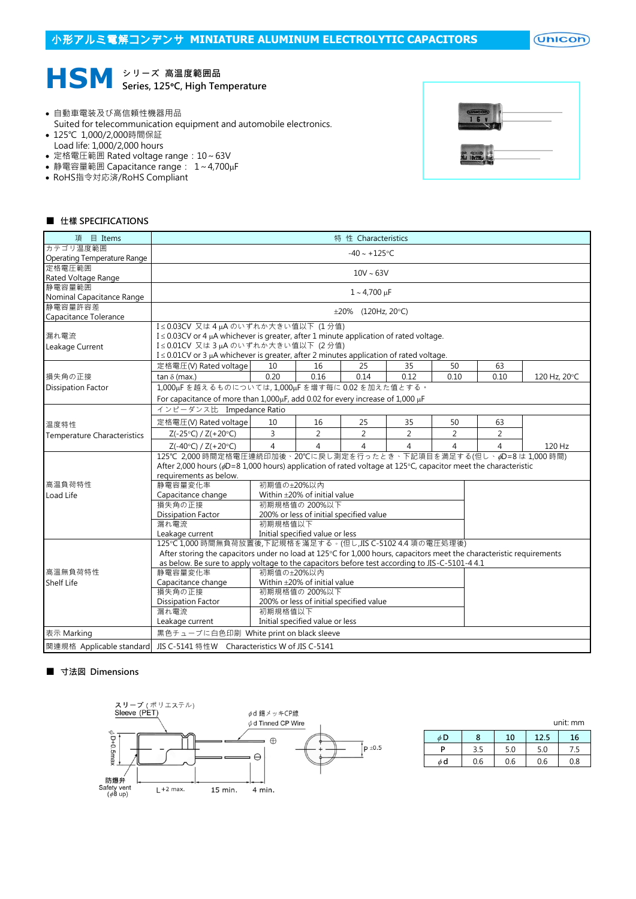$($ Unicon $)$ 



- 自動車電装及び高信頼性機器用品
- Suited for telecommunication equipment and automobile electronics.
- 125℃ 1,000/2,000時間保証
- Load life: 1,000/2,000 hours
- 定格電圧範囲 Rated voltage range: 10~63V
- 静電容量範囲 Capacitance range: 1~4,700µF
- RoHS指令対応済/RoHS Compliant



## ■ 仕樣 SPECIFICATIONS

| 目 Items<br>項                       | 特 性 Characteristics                                                                                                                                                               |                |                                 |                                         |                |                |                |              |  |  |  |  |  |
|------------------------------------|-----------------------------------------------------------------------------------------------------------------------------------------------------------------------------------|----------------|---------------------------------|-----------------------------------------|----------------|----------------|----------------|--------------|--|--|--|--|--|
| カテゴリ温度範囲                           | $-40 \sim +125$ °C                                                                                                                                                                |                |                                 |                                         |                |                |                |              |  |  |  |  |  |
| Operating Temperature Range        |                                                                                                                                                                                   |                |                                 |                                         |                |                |                |              |  |  |  |  |  |
| 定格電圧範囲                             | $10V \sim 63V$                                                                                                                                                                    |                |                                 |                                         |                |                |                |              |  |  |  |  |  |
| Rated Voltage Range                |                                                                                                                                                                                   |                |                                 |                                         |                |                |                |              |  |  |  |  |  |
| 静電容量範囲                             | $1 - 4,700 \mu F$                                                                                                                                                                 |                |                                 |                                         |                |                |                |              |  |  |  |  |  |
| Nominal Capacitance Range          |                                                                                                                                                                                   |                |                                 |                                         |                |                |                |              |  |  |  |  |  |
| 静電容量許容差                            |                                                                                                                                                                                   |                |                                 | $\pm 20\%$ (120Hz, 20°C)                |                |                |                |              |  |  |  |  |  |
| Capacitance Tolerance              |                                                                                                                                                                                   |                |                                 |                                         |                |                |                |              |  |  |  |  |  |
|                                    | I≤0.03CV 又は4µAのいずれか大きい値以下 (1分値)<br>I ≤ 0.03CV or 4 µA whichever is greater, after 1 minute application of rated voltage.                                                          |                |                                 |                                         |                |                |                |              |  |  |  |  |  |
| 漏れ電流                               |                                                                                                                                                                                   |                |                                 |                                         |                |                |                |              |  |  |  |  |  |
| Leakage Current                    | I≤0.01CV 又は3µAのいずれか大きい値以下 (2分値)                                                                                                                                                   |                |                                 |                                         |                |                |                |              |  |  |  |  |  |
|                                    | I ≤ 0.01CV or 3 µA whichever is greater, after 2 minutes application of rated voltage.                                                                                            |                |                                 |                                         |                |                |                |              |  |  |  |  |  |
|                                    | 定格電圧(V) Rated voltage                                                                                                                                                             | 10             | 16                              | 25                                      | 35             | 50             | 63             |              |  |  |  |  |  |
| 損失角の正接                             | tan $\delta$ (max.)                                                                                                                                                               | 0.20           | 0.16                            | 0.14                                    | 0.12           | 0.10           | 0.10           | 120 Hz, 20°C |  |  |  |  |  |
| <b>Dissipation Factor</b>          | 1,000uFを越えるものについては,1,000uFを増す每に0.02を加えた値とする。                                                                                                                                      |                |                                 |                                         |                |                |                |              |  |  |  |  |  |
|                                    | For capacitance of more than 1,000µF, add 0.02 for every increase of 1,000 µF                                                                                                     |                |                                 |                                         |                |                |                |              |  |  |  |  |  |
|                                    | インピーダンス比 Impedance Ratio                                                                                                                                                          |                |                                 |                                         |                |                |                |              |  |  |  |  |  |
| 温度特性                               | 定格電圧(V) Rated voltage                                                                                                                                                             | 10             | 16                              | 25                                      | 35             | 50             | 63             |              |  |  |  |  |  |
| <b>Temperature Characteristics</b> | $Z(-25°C) / Z(+20°C)$                                                                                                                                                             | 3              | $\overline{2}$                  | $\overline{2}$                          | $\overline{2}$ | 2              | 2              |              |  |  |  |  |  |
|                                    | $Z(-40°C) / Z(+20°C)$                                                                                                                                                             | $\overline{4}$ | $\overline{4}$                  | 4                                       | 4              | $\overline{4}$ | $\overline{4}$ | 120 Hz       |  |  |  |  |  |
|                                    | 125℃ 2,000 時間定格電圧連続印加後、20℃に戻し測定を行ったとき、下記項目を満足する(但し、pD=8 は 1,000 時間)                                                                                                               |                |                                 |                                         |                |                |                |              |  |  |  |  |  |
|                                    | After 2,000 hours ( $\phi$ D=8 1,000 hours) application of rated voltage at 125°C, capacitor meet the characteristic                                                              |                |                                 |                                         |                |                |                |              |  |  |  |  |  |
|                                    | requirements as below.                                                                                                                                                            |                |                                 |                                         |                |                |                |              |  |  |  |  |  |
| 高温負荷特性                             | 静電容量変化率                                                                                                                                                                           | 初期值の±20%以内     |                                 |                                         |                |                |                |              |  |  |  |  |  |
| Load Life                          | Capacitance change                                                                                                                                                                |                | Within ±20% of initial value    |                                         |                |                |                |              |  |  |  |  |  |
|                                    | 損失角の正接                                                                                                                                                                            |                | 初期規格值の 200%以下                   |                                         |                |                |                |              |  |  |  |  |  |
|                                    | <b>Dissipation Factor</b>                                                                                                                                                         |                |                                 | 200% or less of initial specified value |                |                |                |              |  |  |  |  |  |
|                                    | 漏れ電流<br>初期規格值以下<br>Initial specified value or less<br>Leakage current                                                                                                             |                |                                 |                                         |                |                |                |              |  |  |  |  |  |
|                                    |                                                                                                                                                                                   |                |                                 |                                         |                |                |                |              |  |  |  |  |  |
|                                    | 125℃ 1,000 時間無負荷放置後,下記規格を滿足する。(但し,JIS C-5102 4.4 項の電圧処理後)<br>After storing the capacitors under no load at 125°C for 1,000 hours, capacitors meet the characteristic requirements |                |                                 |                                         |                |                |                |              |  |  |  |  |  |
|                                    |                                                                                                                                                                                   |                |                                 |                                         |                |                |                |              |  |  |  |  |  |
|                                    | as below. Be sure to apply voltage to the capacitors before test according to JIS-C-5101-4 4.1                                                                                    |                |                                 |                                         |                |                |                |              |  |  |  |  |  |
| 高溫無負荷特性                            | 静電容量変化率<br>初期値の+20%以内                                                                                                                                                             |                |                                 |                                         |                |                |                |              |  |  |  |  |  |
| <b>Shelf Life</b>                  | Within ±20% of initial value<br>Capacitance change                                                                                                                                |                |                                 |                                         |                |                |                |              |  |  |  |  |  |
|                                    | 損失角の正接<br>初期規格值の 200%以下<br><b>Dissipation Factor</b><br>200% or less of initial specified value<br>初期規格值以下                                                                        |                |                                 |                                         |                |                |                |              |  |  |  |  |  |
|                                    |                                                                                                                                                                                   |                |                                 |                                         |                |                |                |              |  |  |  |  |  |
|                                    | 漏れ電流                                                                                                                                                                              |                |                                 |                                         |                |                |                |              |  |  |  |  |  |
|                                    | Leakage current                                                                                                                                                                   |                | Initial specified value or less |                                         |                |                |                |              |  |  |  |  |  |
| 表示 Marking                         | 黒色チューブに白色印刷 White print on black sleeve                                                                                                                                           |                |                                 |                                         |                |                |                |              |  |  |  |  |  |
|                                    | 関連規格 Applicable standard  JIS C-5141 特性W  Characteristics W of JIS C-5141                                                                                                         |                |                                 |                                         |                |                |                |              |  |  |  |  |  |

## ■ 寸法図 Dimensions



|    | unit: mm |     |      |     |  |  |  |  |  |
|----|----------|-----|------|-----|--|--|--|--|--|
| φD | Я        | 10  | 12.5 | 16  |  |  |  |  |  |
| D  | 3.5      | 5.0 | 5.0  | 7.5 |  |  |  |  |  |
| φd | 0.6      | 0.6 | 0.6  | 0.8 |  |  |  |  |  |